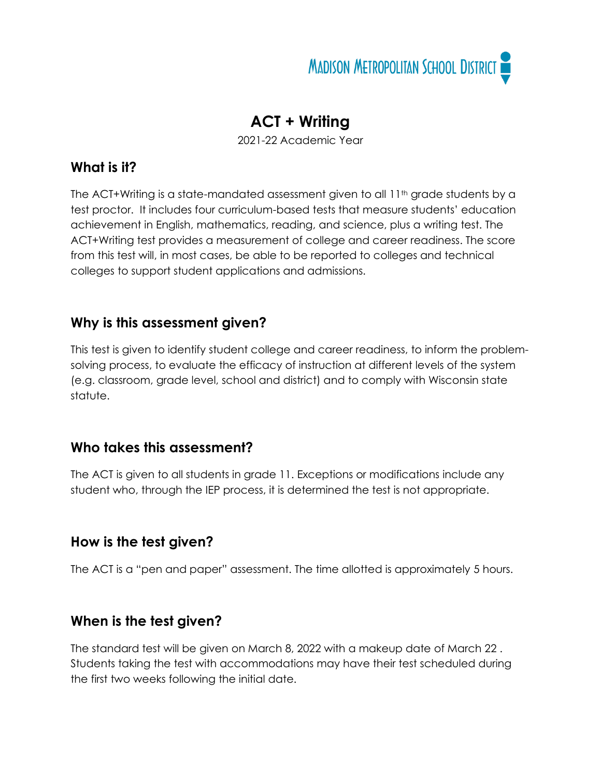

# **ACT + Writing**

2021-22 Academic Year

#### **What is it?**

The ACT+Writing is a state-mandated assessment given to all 11<sup>th</sup> grade students by a test proctor. It includes four curriculum-based tests that measure students' education achievement in English, mathematics, reading, and science, plus a writing test. The ACT+Writing test provides a measurement of college and career readiness. The score from this test will, in most cases, be able to be reported to colleges and technical colleges to support student applications and admissions.

## **Why is this assessment given?**

This test is given to identify student college and career readiness, to inform the problemsolving process, to evaluate the efficacy of instruction at different levels of the system (e.g. classroom, grade level, school and district) and to comply with Wisconsin state statute.

## **Who takes this assessment?**

The ACT is given to all students in grade 11. Exceptions or modifications include any student who, through the IEP process, it is determined the test is not appropriate.

## **How is the test given?**

The ACT is a "pen and paper" assessment. The time allotted is approximately 5 hours.

## **When is the test given?**

The standard test will be given on March 8, 2022 with a makeup date of March 22 . Students taking the test with accommodations may have their test scheduled during the first two weeks following the initial date.